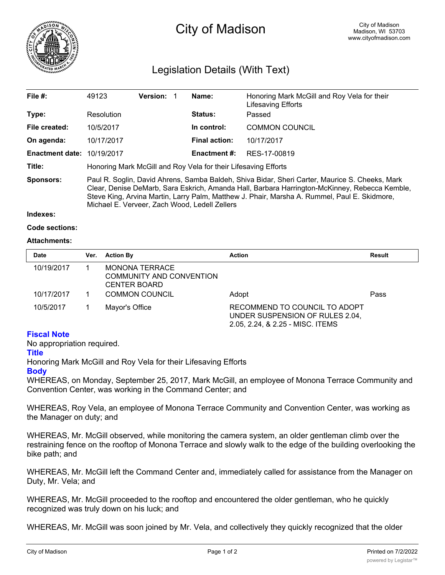

# City of Madison

# Legislation Details (With Text)

| File $#$ :                        | 49123                                                                                                                                                                                                                                                                                                                                            | <b>Version:</b> |  | Name:                | Honoring Mark McGill and Roy Vela for their<br>Lifesaving Efforts |  |
|-----------------------------------|--------------------------------------------------------------------------------------------------------------------------------------------------------------------------------------------------------------------------------------------------------------------------------------------------------------------------------------------------|-----------------|--|----------------------|-------------------------------------------------------------------|--|
| Type:                             | Resolution                                                                                                                                                                                                                                                                                                                                       |                 |  | <b>Status:</b>       | Passed                                                            |  |
| File created:                     | 10/5/2017                                                                                                                                                                                                                                                                                                                                        |                 |  | In control:          | <b>COMMON COUNCIL</b>                                             |  |
| On agenda:                        | 10/17/2017                                                                                                                                                                                                                                                                                                                                       |                 |  | <b>Final action:</b> | 10/17/2017                                                        |  |
| <b>Enactment date: 10/19/2017</b> |                                                                                                                                                                                                                                                                                                                                                  |                 |  | <b>Enactment #:</b>  | RES-17-00819                                                      |  |
| Title:                            | Honoring Mark McGill and Roy Vela for their Lifesaving Efforts                                                                                                                                                                                                                                                                                   |                 |  |                      |                                                                   |  |
| Sponsors:                         | Paul R. Soglin, David Ahrens, Samba Baldeh, Shiva Bidar, Sheri Carter, Maurice S. Cheeks, Mark<br>Clear, Denise DeMarb, Sara Eskrich, Amanda Hall, Barbara Harrington-McKinney, Rebecca Kemble,<br>Steve King, Arvina Martin, Larry Palm, Matthew J. Phair, Marsha A. Rummel, Paul E. Skidmore,<br>Michael E. Verveer, Zach Wood, Ledell Zellers |                 |  |                      |                                                                   |  |

**Indexes:**

```
Code sections:
```
# **Attachments:**

| <b>Date</b> | Ver. | <b>Action By</b>                                                  | <b>Action</b>                                                                                        | <b>Result</b> |
|-------------|------|-------------------------------------------------------------------|------------------------------------------------------------------------------------------------------|---------------|
| 10/19/2017  |      | MONONA TERRACE<br>COMMUNITY AND CONVENTION<br><b>CENTER BOARD</b> |                                                                                                      |               |
| 10/17/2017  |      | <b>COMMON COUNCIL</b>                                             | Adopt                                                                                                | Pass          |
| 10/5/2017   |      | Mayor's Office                                                    | RECOMMEND TO COUNCIL TO ADOPT<br>UNDER SUSPENSION OF RULES 2.04,<br>2.05, 2.24, & 2.25 - MISC. ITEMS |               |

# **Fiscal Note**

No appropriation required.

# **Title**

Honoring Mark McGill and Roy Vela for their Lifesaving Efforts

#### **Body**

WHEREAS, on Monday, September 25, 2017, Mark McGill, an employee of Monona Terrace Community and Convention Center, was working in the Command Center; and

WHEREAS, Roy Vela, an employee of Monona Terrace Community and Convention Center, was working as the Manager on duty; and

WHEREAS, Mr. McGill observed, while monitoring the camera system, an older gentleman climb over the restraining fence on the rooftop of Monona Terrace and slowly walk to the edge of the building overlooking the bike path; and

WHEREAS, Mr. McGill left the Command Center and, immediately called for assistance from the Manager on Duty, Mr. Vela; and

WHEREAS, Mr. McGill proceeded to the rooftop and encountered the older gentleman, who he quickly recognized was truly down on his luck; and

WHEREAS, Mr. McGill was soon joined by Mr. Vela, and collectively they quickly recognized that the older